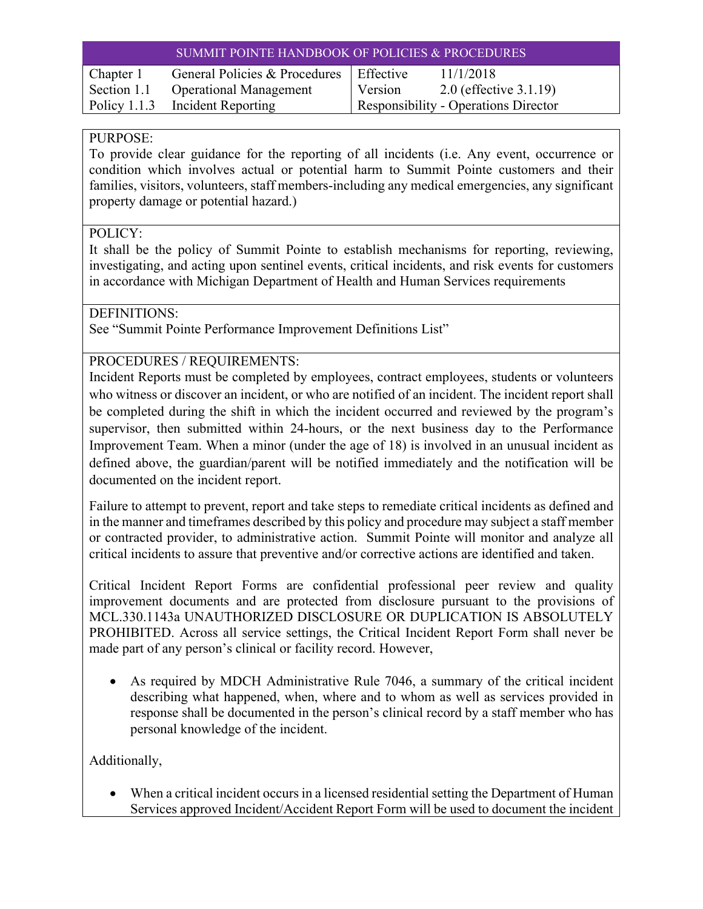| <b>SUMMIT POINTE HANDBOOK OF POLICIES &amp; PROCEDURES</b> |                                           |                                             |                           |
|------------------------------------------------------------|-------------------------------------------|---------------------------------------------|---------------------------|
| Chapter 1                                                  | General Policies & Procedures   Effective |                                             | 11/1/2018                 |
| Section 1.1                                                | <b>Operational Management</b>             | Version                                     | 2.0 (effective $3.1.19$ ) |
|                                                            | Policy 1.1.3 Incident Reporting           | <b>Responsibility - Operations Director</b> |                           |

# PURPOSE:

To provide clear guidance for the reporting of all incidents (i.e. Any event, occurrence or condition which involves actual or potential harm to Summit Pointe customers and their families, visitors, volunteers, staff members-including any medical emergencies, any significant property damage or potential hazard.)

### POLICY:

It shall be the policy of Summit Pointe to establish mechanisms for reporting, reviewing, investigating, and acting upon sentinel events, critical incidents, and risk events for customers in accordance with Michigan Department of Health and Human Services requirements

DEFINITIONS:

See "Summit Pointe Performance Improvement Definitions List"

PROCEDURES / REQUIREMENTS:

Incident Reports must be completed by employees, contract employees, students or volunteers who witness or discover an incident, or who are notified of an incident. The incident report shall be completed during the shift in which the incident occurred and reviewed by the program's supervisor, then submitted within 24-hours, or the next business day to the Performance Improvement Team. When a minor (under the age of 18) is involved in an unusual incident as defined above, the guardian/parent will be notified immediately and the notification will be documented on the incident report.

Failure to attempt to prevent, report and take steps to remediate critical incidents as defined and in the manner and timeframes described by this policy and procedure may subject a staff member or contracted provider, to administrative action. Summit Pointe will monitor and analyze all critical incidents to assure that preventive and/or corrective actions are identified and taken.

Critical Incident Report Forms are confidential professional peer review and quality improvement documents and are protected from disclosure pursuant to the provisions of MCL.330.1143a UNAUTHORIZED DISCLOSURE OR DUPLICATION IS ABSOLUTELY PROHIBITED. Across all service settings, the Critical Incident Report Form shall never be made part of any person's clinical or facility record. However,

 As required by MDCH Administrative Rule 7046, a summary of the critical incident describing what happened, when, where and to whom as well as services provided in response shall be documented in the person's clinical record by a staff member who has personal knowledge of the incident.

Additionally,

 When a critical incident occurs in a licensed residential setting the Department of Human Services approved Incident/Accident Report Form will be used to document the incident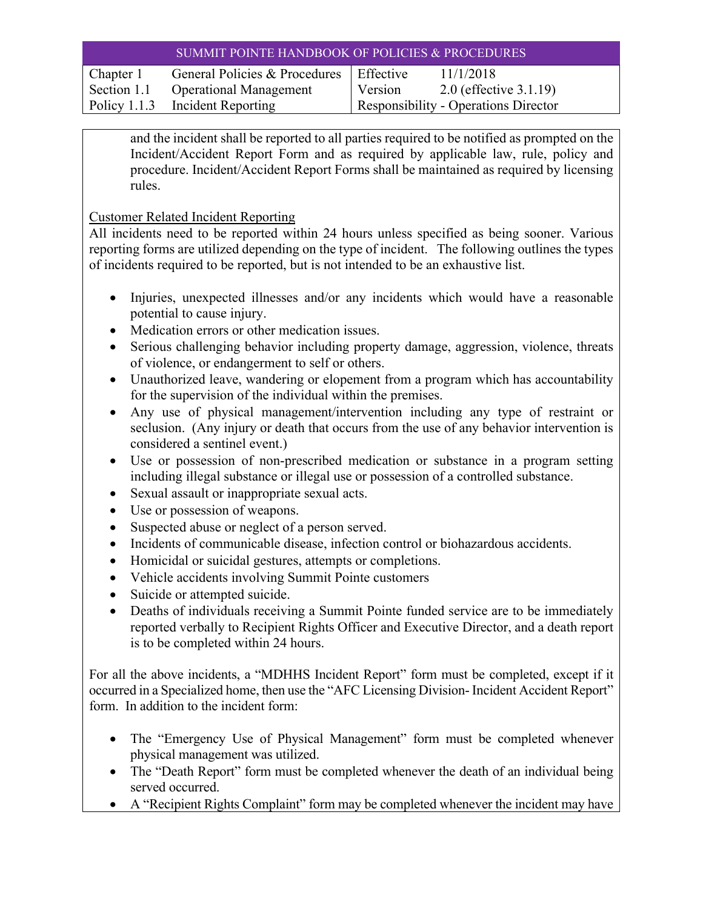| SUMMIT POINTE HANDBOOK OF POLICIES & PROCEDURES |                                           |                                      |                           |
|-------------------------------------------------|-------------------------------------------|--------------------------------------|---------------------------|
| Chapter 1                                       | General Policies & Procedures   Effective |                                      | 11/1/2018                 |
| Section 1.1                                     | <b>Operational Management</b>             | Version                              | 2.0 (effective $3.1.19$ ) |
|                                                 | Policy 1.1.3 Incident Reporting           | Responsibility - Operations Director |                           |

and the incident shall be reported to all parties required to be notified as prompted on the Incident/Accident Report Form and as required by applicable law, rule, policy and procedure. Incident/Accident Report Forms shall be maintained as required by licensing rules.

#### Customer Related Incident Reporting

All incidents need to be reported within 24 hours unless specified as being sooner. Various reporting forms are utilized depending on the type of incident. The following outlines the types of incidents required to be reported, but is not intended to be an exhaustive list.

- Injuries, unexpected illnesses and/or any incidents which would have a reasonable potential to cause injury.
- Medication errors or other medication issues.
- Serious challenging behavior including property damage, aggression, violence, threats of violence, or endangerment to self or others.
- Unauthorized leave, wandering or elopement from a program which has accountability for the supervision of the individual within the premises.
- Any use of physical management/intervention including any type of restraint or seclusion. (Any injury or death that occurs from the use of any behavior intervention is considered a sentinel event.)
- Use or possession of non-prescribed medication or substance in a program setting including illegal substance or illegal use or possession of a controlled substance.
- Sexual assault or inappropriate sexual acts.
- Use or possession of weapons.
- Suspected abuse or neglect of a person served.
- Incidents of communicable disease, infection control or biohazardous accidents.
- Homicidal or suicidal gestures, attempts or completions.
- Vehicle accidents involving Summit Pointe customers
- Suicide or attempted suicide.
- Deaths of individuals receiving a Summit Pointe funded service are to be immediately reported verbally to Recipient Rights Officer and Executive Director, and a death report is to be completed within 24 hours.

For all the above incidents, a "MDHHS Incident Report" form must be completed, except if it occurred in a Specialized home, then use the "AFC Licensing Division- Incident Accident Report" form. In addition to the incident form:

- The "Emergency Use of Physical Management" form must be completed whenever physical management was utilized.
- The "Death Report" form must be completed whenever the death of an individual being served occurred.
- A "Recipient Rights Complaint" form may be completed whenever the incident may have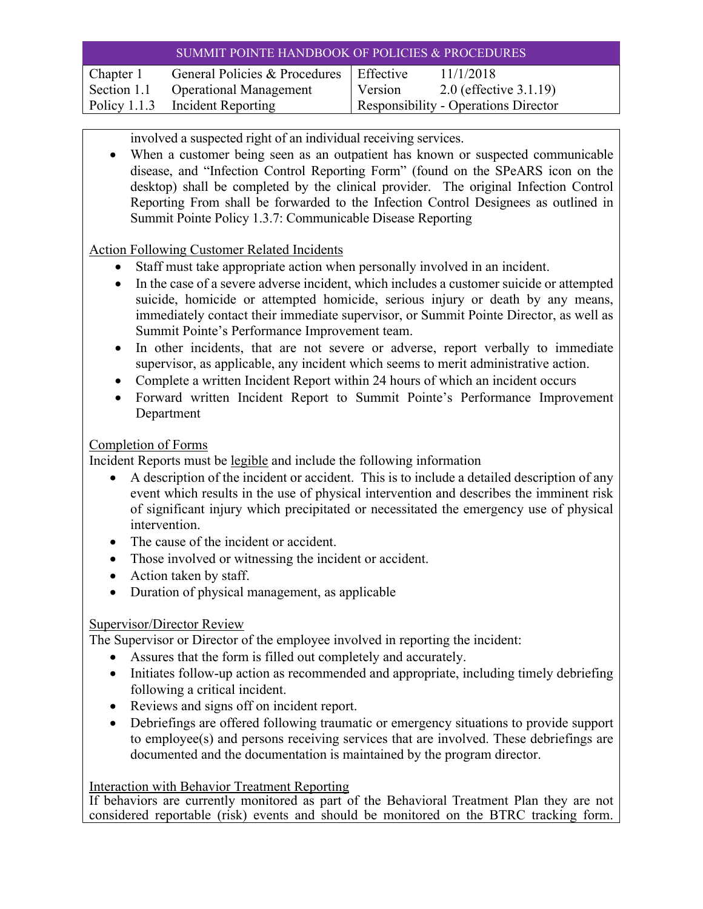| SUMMIT POINTE HANDBOOK OF POLICIES & PROCEDURES |                                 |                                             |                           |
|-------------------------------------------------|---------------------------------|---------------------------------------------|---------------------------|
| Chapter 1                                       | General Policies & Procedures   | Effective                                   | 11/1/2018                 |
| Section 1.1                                     | <b>Operational Management</b>   | Version                                     | 2.0 (effective $3.1.19$ ) |
|                                                 | Policy 1.1.3 Incident Reporting | <b>Responsibility - Operations Director</b> |                           |

involved a suspected right of an individual receiving services.

 When a customer being seen as an outpatient has known or suspected communicable disease, and "Infection Control Reporting Form" (found on the SPeARS icon on the desktop) shall be completed by the clinical provider. The original Infection Control Reporting From shall be forwarded to the Infection Control Designees as outlined in Summit Pointe Policy 1.3.7: Communicable Disease Reporting

Action Following Customer Related Incidents

- Staff must take appropriate action when personally involved in an incident.
- In the case of a severe adverse incident, which includes a customer suicide or attempted suicide, homicide or attempted homicide, serious injury or death by any means, immediately contact their immediate supervisor, or Summit Pointe Director, as well as Summit Pointe's Performance Improvement team.
- In other incidents, that are not severe or adverse, report verbally to immediate supervisor, as applicable, any incident which seems to merit administrative action.
- Complete a written Incident Report within 24 hours of which an incident occurs
- Forward written Incident Report to Summit Pointe's Performance Improvement Department

## Completion of Forms

Incident Reports must be legible and include the following information

- A description of the incident or accident. This is to include a detailed description of any event which results in the use of physical intervention and describes the imminent risk of significant injury which precipitated or necessitated the emergency use of physical intervention.
- The cause of the incident or accident.
- Those involved or witnessing the incident or accident.
- Action taken by staff.
- Duration of physical management, as applicable

# Supervisor/Director Review

The Supervisor or Director of the employee involved in reporting the incident:

- Assures that the form is filled out completely and accurately.
- Initiates follow-up action as recommended and appropriate, including timely debriefing following a critical incident.
- Reviews and signs off on incident report.
- Debriefings are offered following traumatic or emergency situations to provide support to employee(s) and persons receiving services that are involved. These debriefings are documented and the documentation is maintained by the program director.

### Interaction with Behavior Treatment Reporting

If behaviors are currently monitored as part of the Behavioral Treatment Plan they are not considered reportable (risk) events and should be monitored on the BTRC tracking form.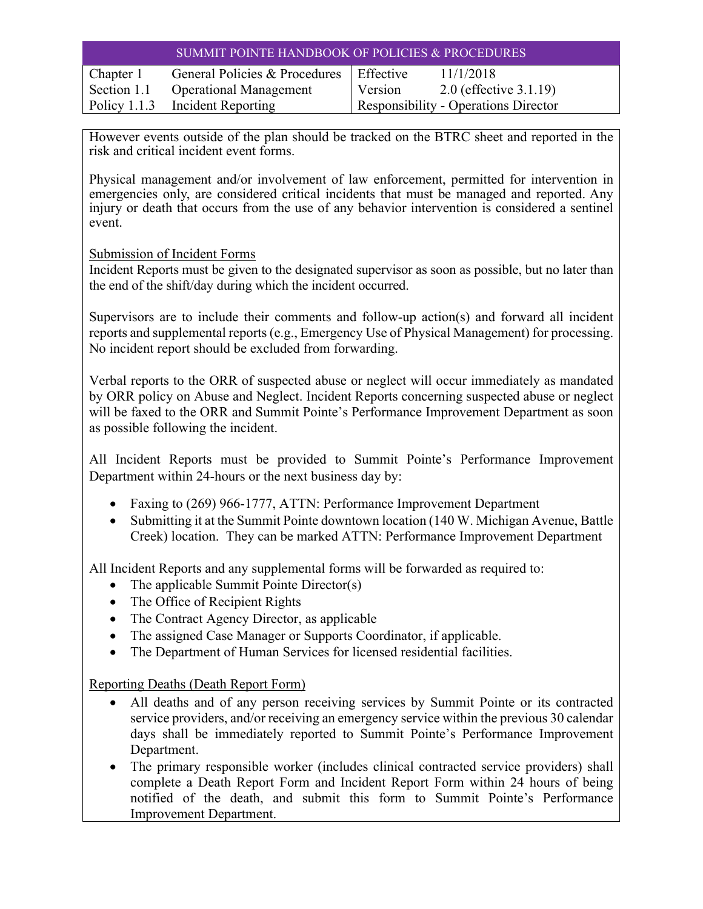| <b>SUMMIT POINTE HANDBOOK OF POLICIES &amp; PROCEDURES</b> |                                           |                                             |                           |
|------------------------------------------------------------|-------------------------------------------|---------------------------------------------|---------------------------|
| Chapter 1                                                  | General Policies & Procedures   Effective |                                             | 11/1/2018                 |
| Section 1.1                                                | <b>Operational Management</b>             | Version                                     | 2.0 (effective $3.1.19$ ) |
|                                                            | Policy 1.1.3 Incident Reporting           | <b>Responsibility - Operations Director</b> |                           |

However events outside of the plan should be tracked on the BTRC sheet and reported in the risk and critical incident event forms.

Physical management and/or involvement of law enforcement, permitted for intervention in emergencies only, are considered critical incidents that must be managed and reported. Any injury or death that occurs from the use of any behavior intervention is considered a sentinel event.

Submission of Incident Forms

Incident Reports must be given to the designated supervisor as soon as possible, but no later than the end of the shift/day during which the incident occurred.

Supervisors are to include their comments and follow-up action(s) and forward all incident reports and supplemental reports (e.g., Emergency Use of Physical Management) for processing. No incident report should be excluded from forwarding.

Verbal reports to the ORR of suspected abuse or neglect will occur immediately as mandated by ORR policy on Abuse and Neglect. Incident Reports concerning suspected abuse or neglect will be faxed to the ORR and Summit Pointe's Performance Improvement Department as soon as possible following the incident.

All Incident Reports must be provided to Summit Pointe's Performance Improvement Department within 24-hours or the next business day by:

- Faxing to (269) 966-1777, ATTN: Performance Improvement Department
- Submitting it at the Summit Pointe downtown location (140 W. Michigan Avenue, Battle Creek) location. They can be marked ATTN: Performance Improvement Department

All Incident Reports and any supplemental forms will be forwarded as required to:

- The applicable Summit Pointe Director(s)
- The Office of Recipient Rights
- The Contract Agency Director, as applicable
- The assigned Case Manager or Supports Coordinator, if applicable.
- The Department of Human Services for licensed residential facilities.

Reporting Deaths (Death Report Form)

- All deaths and of any person receiving services by Summit Pointe or its contracted service providers, and/or receiving an emergency service within the previous 30 calendar days shall be immediately reported to Summit Pointe's Performance Improvement Department.
- The primary responsible worker (includes clinical contracted service providers) shall complete a Death Report Form and Incident Report Form within 24 hours of being notified of the death, and submit this form to Summit Pointe's Performance Improvement Department.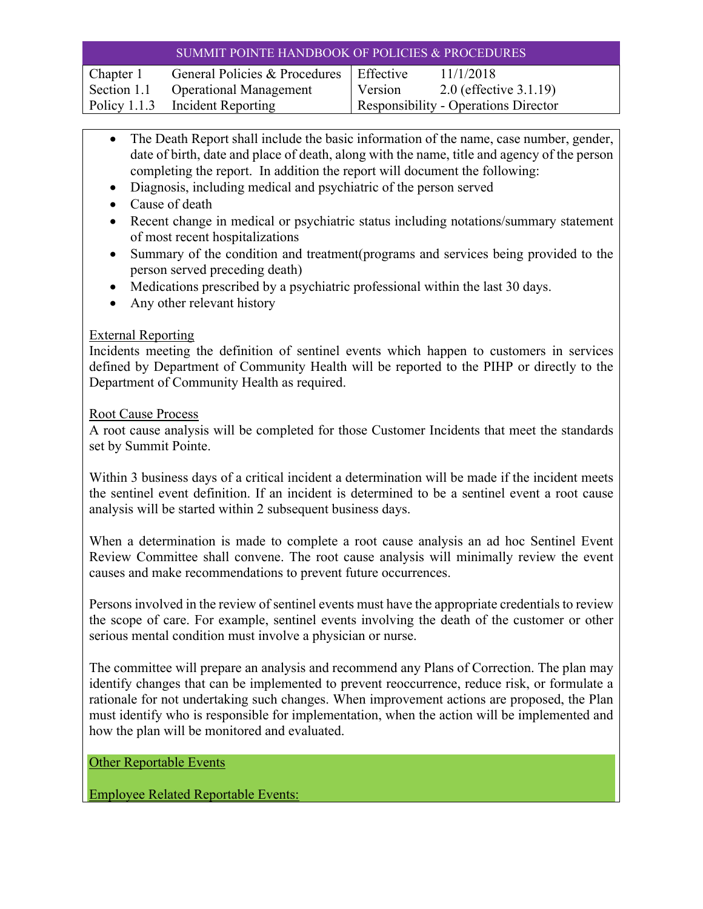| SUMMIT POINTE HANDBOOK OF POLICIES & PROCEDURES |                                           |                                             |                           |
|-------------------------------------------------|-------------------------------------------|---------------------------------------------|---------------------------|
| Chapter 1                                       | General Policies & Procedures   Effective |                                             | 11/1/2018                 |
| Section 1.1                                     | <b>Operational Management</b>             | Version                                     | 2.0 (effective $3.1.19$ ) |
|                                                 | Policy 1.1.3 Incident Reporting           | <b>Responsibility - Operations Director</b> |                           |

- The Death Report shall include the basic information of the name, case number, gender, date of birth, date and place of death, along with the name, title and agency of the person completing the report. In addition the report will document the following:
- Diagnosis, including medical and psychiatric of the person served
- Cause of death
- Recent change in medical or psychiatric status including notations/summary statement of most recent hospitalizations
- Summary of the condition and treatment(programs and services being provided to the person served preceding death)
- Medications prescribed by a psychiatric professional within the last 30 days.
- Any other relevant history

### External Reporting

Incidents meeting the definition of sentinel events which happen to customers in services defined by Department of Community Health will be reported to the PIHP or directly to the Department of Community Health as required.

### Root Cause Process

A root cause analysis will be completed for those Customer Incidents that meet the standards set by Summit Pointe.

Within 3 business days of a critical incident a determination will be made if the incident meets the sentinel event definition. If an incident is determined to be a sentinel event a root cause analysis will be started within 2 subsequent business days.

When a determination is made to complete a root cause analysis an ad hoc Sentinel Event Review Committee shall convene. The root cause analysis will minimally review the event causes and make recommendations to prevent future occurrences.

Persons involved in the review of sentinel events must have the appropriate credentials to review the scope of care. For example, sentinel events involving the death of the customer or other serious mental condition must involve a physician or nurse.

The committee will prepare an analysis and recommend any Plans of Correction. The plan may identify changes that can be implemented to prevent reoccurrence, reduce risk, or formulate a rationale for not undertaking such changes. When improvement actions are proposed, the Plan must identify who is responsible for implementation, when the action will be implemented and how the plan will be monitored and evaluated.

Other Reportable Events

Employee Related Reportable Events: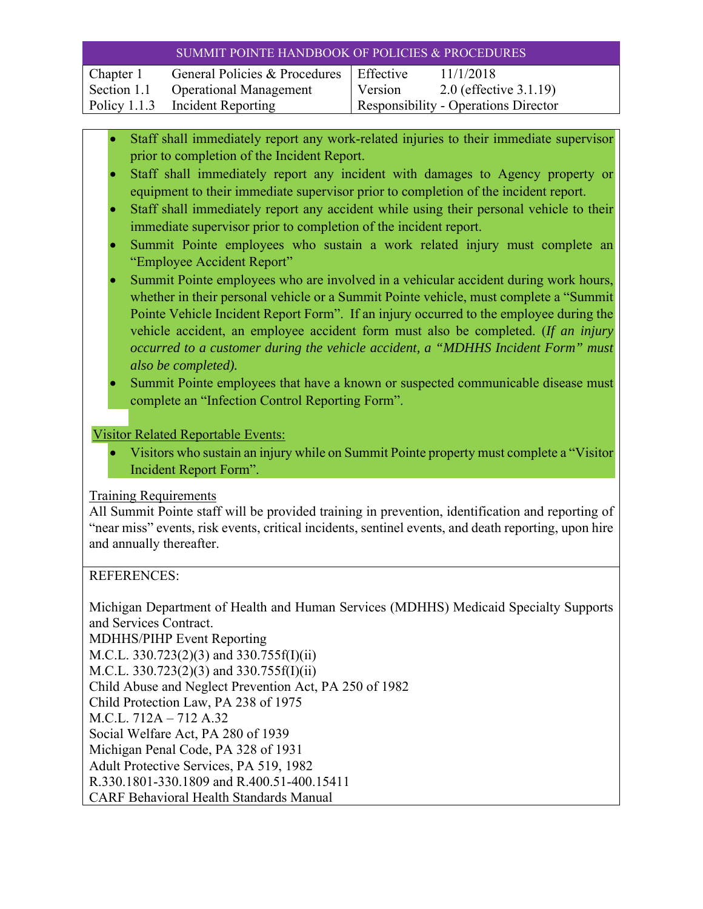| SUMMIT POINTE HANDBOOK OF POLICIES & PROCEDURES |                                           |                                             |                           |
|-------------------------------------------------|-------------------------------------------|---------------------------------------------|---------------------------|
| Chapter 1                                       | General Policies & Procedures   Effective |                                             | 11/1/2018                 |
| Section 1.1                                     | <b>Operational Management</b>             | Version                                     | 2.0 (effective $3.1.19$ ) |
|                                                 | Policy 1.1.3 Incident Reporting           | <b>Responsibility - Operations Director</b> |                           |

- Staff shall immediately report any work-related injuries to their immediate supervisor prior to completion of the Incident Report.
- Staff shall immediately report any incident with damages to Agency property or equipment to their immediate supervisor prior to completion of the incident report.
- Staff shall immediately report any accident while using their personal vehicle to their immediate supervisor prior to completion of the incident report.
- Summit Pointe employees who sustain a work related injury must complete an "Employee Accident Report"
- Summit Pointe employees who are involved in a vehicular accident during work hours, whether in their personal vehicle or a Summit Pointe vehicle, must complete a "Summit Pointe Vehicle Incident Report Form". If an injury occurred to the employee during the vehicle accident, an employee accident form must also be completed. (*If an injury occurred to a customer during the vehicle accident, a "MDHHS Incident Form" must also be completed).*
- Summit Pointe employees that have a known or suspected communicable disease must complete an "Infection Control Reporting Form".

## Visitor Related Reportable Events:

 Visitors who sustain an injury while on Summit Pointe property must complete a "Visitor Incident Report Form".

### Training Requirements

All Summit Pointe staff will be provided training in prevention, identification and reporting of "near miss" events, risk events, critical incidents, sentinel events, and death reporting, upon hire and annually thereafter.

### REFERENCES:

Michigan Department of Health and Human Services (MDHHS) Medicaid Specialty Supports and Services Contract. MDHHS/PIHP Event Reporting M.C.L. 330.723(2)(3) and 330.755f(I)(ii) M.C.L. 330.723(2)(3) and 330.755f(I)(ii) Child Abuse and Neglect Prevention Act, PA 250 of 1982 Child Protection Law, PA 238 of 1975 M.C.L. 712A – 712 A.32 Social Welfare Act, PA 280 of 1939 Michigan Penal Code, PA 328 of 1931 Adult Protective Services, PA 519, 1982 R.330.1801-330.1809 and R.400.51-400.15411 CARF Behavioral Health Standards Manual